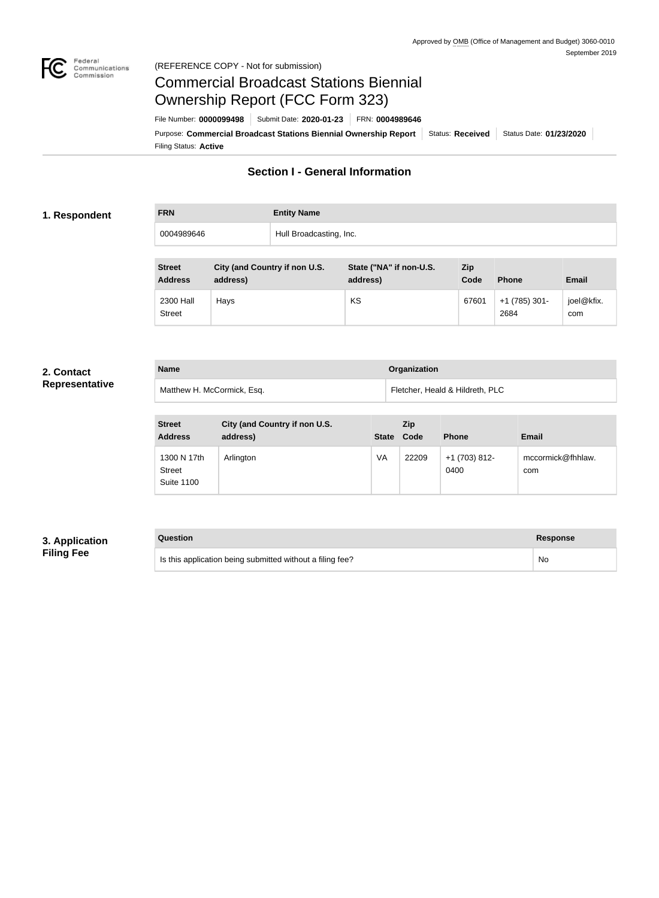

#### Federal<br>Communications<br>Commission (REFERENCE COPY - Not for submission)

# Commercial Broadcast Stations Biennial Ownership Report (FCC Form 323)

Filing Status: **Active** Purpose: Commercial Broadcast Stations Biennial Ownership Report Status: Received Status Date: 01/23/2020 File Number: **0000099498** Submit Date: **2020-01-23** FRN: **0004989646**

# **Section I - General Information**

#### **1. Respondent**

| <b>FRN</b> | <b>Entity Name</b>      |
|------------|-------------------------|
| 0004989646 | Hull Broadcasting, Inc. |

| <b>Street</b><br><b>Address</b> | City (and Country if non U.S.<br>address) | State ("NA" if non-U.S.<br>address) | <b>Zip</b><br>Code | <b>Phone</b>          | <b>Email</b>      |
|---------------------------------|-------------------------------------------|-------------------------------------|--------------------|-----------------------|-------------------|
| 2300 Hall<br><b>Street</b>      | Hays                                      | KS                                  | 67601              | $+1(785)301-$<br>2684 | joel@kfix.<br>com |

#### **2. Contact Representative**

| <b>Name</b>                | Organization                    |
|----------------------------|---------------------------------|
| Matthew H. McCormick, Esq. | Fletcher, Heald & Hildreth, PLC |

| <b>Street</b><br><b>Address</b>                   | City (and Country if non U.S.<br>address) | <b>State</b> | <b>Zip</b><br>Code | <b>Phone</b>          | <b>Email</b>             |
|---------------------------------------------------|-------------------------------------------|--------------|--------------------|-----------------------|--------------------------|
| 1300 N 17th<br><b>Street</b><br><b>Suite 1100</b> | Arlington                                 | VA           | 22209              | $+1(703)812-$<br>0400 | mccormick@fhhlaw.<br>com |

## **3. Application Filing Fee**

# **Question Response**

Is this application being submitted without a filing fee? No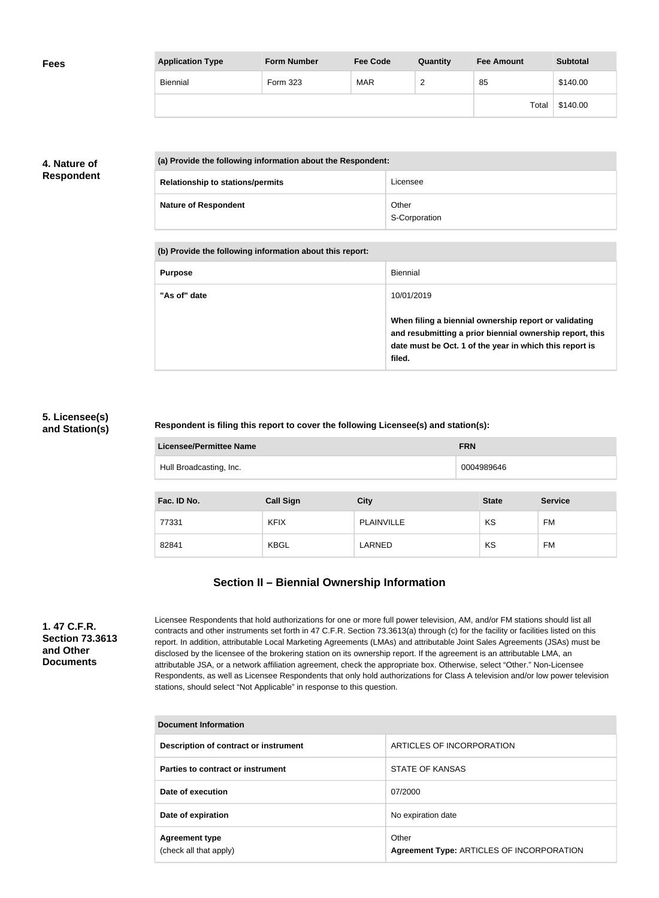| <b>Fees</b> | <b>Application Type</b> | <b>Form Number</b> | <b>Fee Code</b> | Quantity | <b>Fee Amount</b> | <b>Subtotal</b> |
|-------------|-------------------------|--------------------|-----------------|----------|-------------------|-----------------|
|             | <b>Biennial</b>         | Form 323           | <b>MAR</b>      | _        | 85                | \$140.00        |
|             |                         |                    |                 |          | Total             | \$140.00        |

## **4. Nature of Respondent**

| (a) Provide the following information about the Respondent: |                        |  |
|-------------------------------------------------------------|------------------------|--|
| <b>Relationship to stations/permits</b>                     | Licensee               |  |
| <b>Nature of Respondent</b>                                 | Other<br>S-Corporation |  |

| (b) Provide the following information about this report: |                                                                                                                                                                                        |  |
|----------------------------------------------------------|----------------------------------------------------------------------------------------------------------------------------------------------------------------------------------------|--|
| <b>Purpose</b>                                           | Biennial                                                                                                                                                                               |  |
| "As of" date                                             | 10/01/2019                                                                                                                                                                             |  |
|                                                          | When filing a biennial ownership report or validating<br>and resubmitting a prior biennial ownership report, this<br>date must be Oct. 1 of the year in which this report is<br>filed. |  |

#### **5. Licensee(s) and Station(s)**

### **Respondent is filing this report to cover the following Licensee(s) and station(s):**

| <b>Licensee/Permittee Name</b><br><b>FRN</b> |                  |             |              |                |
|----------------------------------------------|------------------|-------------|--------------|----------------|
| Hull Broadcasting, Inc.<br>0004989646        |                  |             |              |                |
|                                              |                  |             |              |                |
| Fac. ID No.                                  | <b>Call Sign</b> | <b>City</b> | <b>State</b> | <b>Service</b> |
|                                              |                  |             |              |                |
| 77331                                        | <b>KFIX</b>      | PLAINVILLE  | KS           | <b>FM</b>      |

# **Section II – Biennial Ownership Information**

**1. 47 C.F.R. Section 73.3613 and Other Documents**

Licensee Respondents that hold authorizations for one or more full power television, AM, and/or FM stations should list all contracts and other instruments set forth in 47 C.F.R. Section 73.3613(a) through (c) for the facility or facilities listed on this report. In addition, attributable Local Marketing Agreements (LMAs) and attributable Joint Sales Agreements (JSAs) must be disclosed by the licensee of the brokering station on its ownership report. If the agreement is an attributable LMA, an attributable JSA, or a network affiliation agreement, check the appropriate box. Otherwise, select "Other." Non-Licensee Respondents, as well as Licensee Respondents that only hold authorizations for Class A television and/or low power television stations, should select "Not Applicable" in response to this question.

| Document Information                            |                                                    |  |  |
|-------------------------------------------------|----------------------------------------------------|--|--|
| Description of contract or instrument           | ARTICLES OF INCORPORATION                          |  |  |
| Parties to contract or instrument               | STATE OF KANSAS                                    |  |  |
| Date of execution                               | 07/2000                                            |  |  |
| Date of expiration                              | No expiration date                                 |  |  |
| <b>Agreement type</b><br>(check all that apply) | Other<br>Agreement Type: ARTICLES OF INCORPORATION |  |  |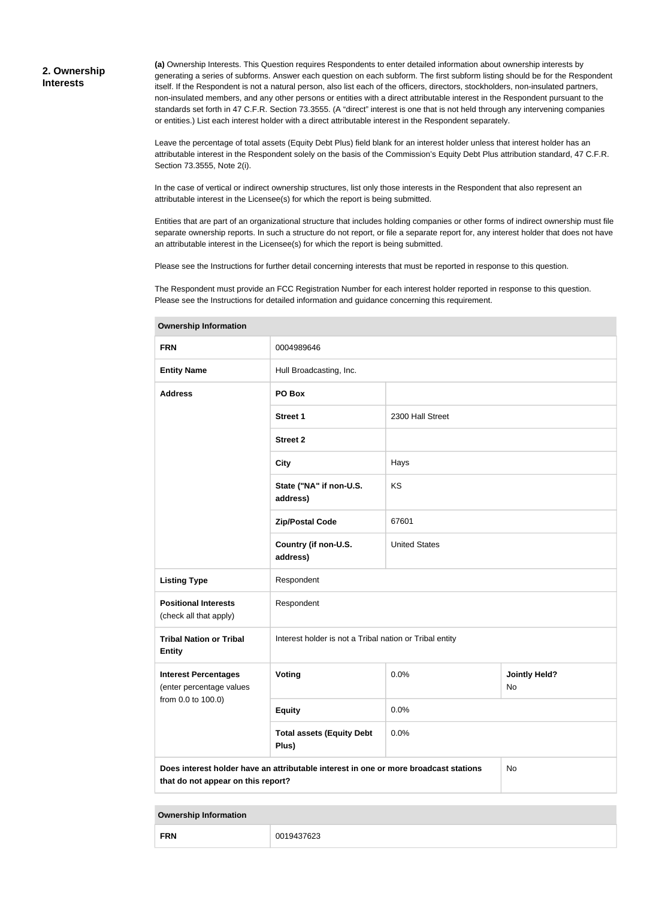#### **2. Ownership Interests**

**(a)** Ownership Interests. This Question requires Respondents to enter detailed information about ownership interests by generating a series of subforms. Answer each question on each subform. The first subform listing should be for the Respondent itself. If the Respondent is not a natural person, also list each of the officers, directors, stockholders, non-insulated partners, non-insulated members, and any other persons or entities with a direct attributable interest in the Respondent pursuant to the standards set forth in 47 C.F.R. Section 73.3555. (A "direct" interest is one that is not held through any intervening companies or entities.) List each interest holder with a direct attributable interest in the Respondent separately.

Leave the percentage of total assets (Equity Debt Plus) field blank for an interest holder unless that interest holder has an attributable interest in the Respondent solely on the basis of the Commission's Equity Debt Plus attribution standard, 47 C.F.R. Section 73.3555, Note 2(i).

In the case of vertical or indirect ownership structures, list only those interests in the Respondent that also represent an attributable interest in the Licensee(s) for which the report is being submitted.

Entities that are part of an organizational structure that includes holding companies or other forms of indirect ownership must file separate ownership reports. In such a structure do not report, or file a separate report for, any interest holder that does not have an attributable interest in the Licensee(s) for which the report is being submitted.

Please see the Instructions for further detail concerning interests that must be reported in response to this question.

The Respondent must provide an FCC Registration Number for each interest holder reported in response to this question. Please see the Instructions for detailed information and guidance concerning this requirement.

| <b>FRN</b>                                              | 0004989646                                                                           |                      |                            |
|---------------------------------------------------------|--------------------------------------------------------------------------------------|----------------------|----------------------------|
| <b>Entity Name</b>                                      | Hull Broadcasting, Inc.                                                              |                      |                            |
| <b>Address</b>                                          | PO Box                                                                               |                      |                            |
|                                                         | <b>Street 1</b>                                                                      | 2300 Hall Street     |                            |
|                                                         | <b>Street 2</b>                                                                      |                      |                            |
|                                                         | <b>City</b>                                                                          | Hays                 |                            |
|                                                         | State ("NA" if non-U.S.<br>address)                                                  | KS                   |                            |
|                                                         | <b>Zip/Postal Code</b>                                                               | 67601                |                            |
|                                                         | Country (if non-U.S.<br>address)                                                     | <b>United States</b> |                            |
| <b>Listing Type</b>                                     | Respondent                                                                           |                      |                            |
| <b>Positional Interests</b><br>(check all that apply)   | Respondent                                                                           |                      |                            |
| <b>Tribal Nation or Tribal</b><br><b>Entity</b>         | Interest holder is not a Tribal nation or Tribal entity                              |                      |                            |
| <b>Interest Percentages</b><br>(enter percentage values | Voting                                                                               | 0.0%                 | <b>Jointly Held?</b><br>No |
| from 0.0 to 100.0)                                      | <b>Equity</b>                                                                        | 0.0%                 |                            |
|                                                         | <b>Total assets (Equity Debt</b><br>Plus)                                            | 0.0%                 |                            |
| that do not appear on this report?                      | Does interest holder have an attributable interest in one or more broadcast stations |                      | No                         |

**Ownership Information**

**Ownership Information**

| <b>FRN</b><br>00 <sup>.</sup><br>чд<br>ش∠16'" |  |
|-----------------------------------------------|--|
|-----------------------------------------------|--|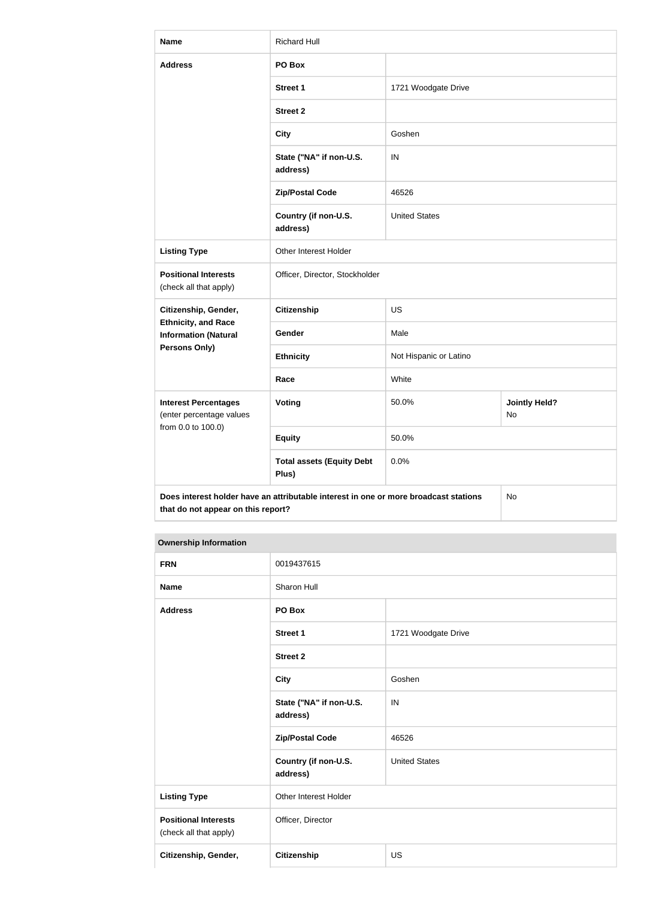| <b>Name</b>                                               | <b>Richard Hull</b>                                                                  |                        |                            |  |
|-----------------------------------------------------------|--------------------------------------------------------------------------------------|------------------------|----------------------------|--|
| <b>Address</b>                                            | PO Box                                                                               |                        |                            |  |
|                                                           | <b>Street 1</b>                                                                      | 1721 Woodgate Drive    |                            |  |
|                                                           | <b>Street 2</b>                                                                      |                        |                            |  |
|                                                           | <b>City</b>                                                                          | Goshen                 |                            |  |
|                                                           | State ("NA" if non-U.S.<br>address)                                                  | IN                     |                            |  |
|                                                           | <b>Zip/Postal Code</b>                                                               | 46526                  |                            |  |
|                                                           | Country (if non-U.S.<br>address)                                                     | <b>United States</b>   |                            |  |
| <b>Listing Type</b>                                       | Other Interest Holder                                                                |                        |                            |  |
| <b>Positional Interests</b><br>(check all that apply)     | Officer, Director, Stockholder                                                       |                        |                            |  |
| Citizenship, Gender,                                      | Citizenship                                                                          | <b>US</b>              |                            |  |
| <b>Ethnicity, and Race</b><br><b>Information (Natural</b> | Gender                                                                               | Male                   |                            |  |
| Persons Only)                                             | <b>Ethnicity</b>                                                                     | Not Hispanic or Latino |                            |  |
|                                                           | Race                                                                                 | White                  |                            |  |
| <b>Interest Percentages</b><br>(enter percentage values   | Voting                                                                               | 50.0%                  | <b>Jointly Held?</b><br>No |  |
| from 0.0 to 100.0)                                        | <b>Equity</b>                                                                        | 50.0%                  |                            |  |
|                                                           | <b>Total assets (Equity Debt</b><br>Plus)                                            | 0.0%                   |                            |  |
| that do not appear on this report?                        | Does interest holder have an attributable interest in one or more broadcast stations |                        | No                         |  |

#### **Ownership Information**

| <b>FRN</b>                                            | 0019437615                          |                      |
|-------------------------------------------------------|-------------------------------------|----------------------|
| <b>Name</b>                                           | Sharon Hull                         |                      |
| <b>Address</b>                                        | PO Box                              |                      |
|                                                       | Street 1                            | 1721 Woodgate Drive  |
|                                                       | <b>Street 2</b>                     |                      |
|                                                       | <b>City</b>                         | Goshen               |
|                                                       | State ("NA" if non-U.S.<br>address) | IN                   |
|                                                       | <b>Zip/Postal Code</b>              | 46526                |
|                                                       | Country (if non-U.S.<br>address)    | <b>United States</b> |
| <b>Listing Type</b>                                   | Other Interest Holder               |                      |
| <b>Positional Interests</b><br>(check all that apply) | Officer, Director                   |                      |
| Citizenship, Gender,                                  | <b>Citizenship</b>                  | US                   |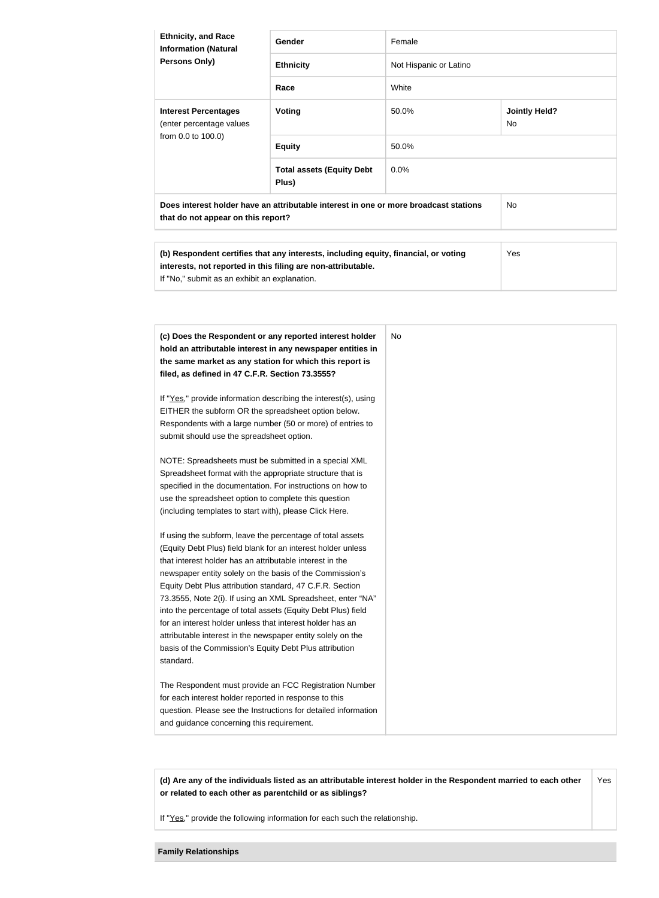| <b>Ethnicity, and Race</b><br><b>Information (Natural</b><br><b>Persons Only)</b> | <b>Gender</b>                                                                        | Female                 |                             |
|-----------------------------------------------------------------------------------|--------------------------------------------------------------------------------------|------------------------|-----------------------------|
|                                                                                   | <b>Ethnicity</b>                                                                     | Not Hispanic or Latino |                             |
|                                                                                   | Race                                                                                 | White                  |                             |
| <b>Interest Percentages</b><br>(enter percentage values<br>from 0.0 to 100.0)     | Voting                                                                               | 50.0%                  | <b>Jointly Held?</b><br>No. |
|                                                                                   | <b>Equity</b>                                                                        | 50.0%                  |                             |
|                                                                                   | <b>Total assets (Equity Debt</b><br>Plus)                                            | $0.0\%$                |                             |
| that do not appear on this report?                                                | Does interest holder have an attributable interest in one or more broadcast stations |                        | No.                         |

| (b) Respondent certifies that any interests, including equity, financial, or voting | Yes |
|-------------------------------------------------------------------------------------|-----|
| interests, not reported in this filing are non-attributable.                        |     |
| If "No," submit as an exhibit an explanation.                                       |     |

| (c) Does the Respondent or any reported interest holder             | No. |
|---------------------------------------------------------------------|-----|
| hold an attributable interest in any newspaper entities in          |     |
| the same market as any station for which this report is             |     |
| filed, as defined in 47 C.F.R. Section 73.3555?                     |     |
| If "Yes," provide information describing the interest(s), using     |     |
| EITHER the subform OR the spreadsheet option below.                 |     |
| Respondents with a large number (50 or more) of entries to          |     |
| submit should use the spreadsheet option.                           |     |
| NOTE: Spreadsheets must be submitted in a special XML               |     |
| Spreadsheet format with the appropriate structure that is           |     |
| specified in the documentation. For instructions on how to          |     |
| use the spreadsheet option to complete this question                |     |
| (including templates to start with), please Click Here.             |     |
| If using the subform, leave the percentage of total assets          |     |
| (Equity Debt Plus) field blank for an interest holder unless        |     |
| that interest holder has an attributable interest in the            |     |
| newspaper entity solely on the basis of the Commission's            |     |
| Equity Debt Plus attribution standard, 47 C.F.R. Section            |     |
| 73.3555, Note 2(i). If using an XML Spreadsheet, enter "NA"         |     |
| into the percentage of total assets (Equity Debt Plus) field        |     |
| for an interest holder unless that interest holder has an           |     |
| attributable interest in the newspaper entity solely on the         |     |
| basis of the Commission's Equity Debt Plus attribution<br>standard. |     |
| The Respondent must provide an FCC Registration Number              |     |
| for each interest holder reported in response to this               |     |
| question. Please see the Instructions for detailed information      |     |
|                                                                     |     |

**(d) Are any of the individuals listed as an attributable interest holder in the Respondent married to each other or related to each other as parentchild or as siblings?** Yes

If "Yes," provide the following information for each such the relationship.

**Family Relationships**